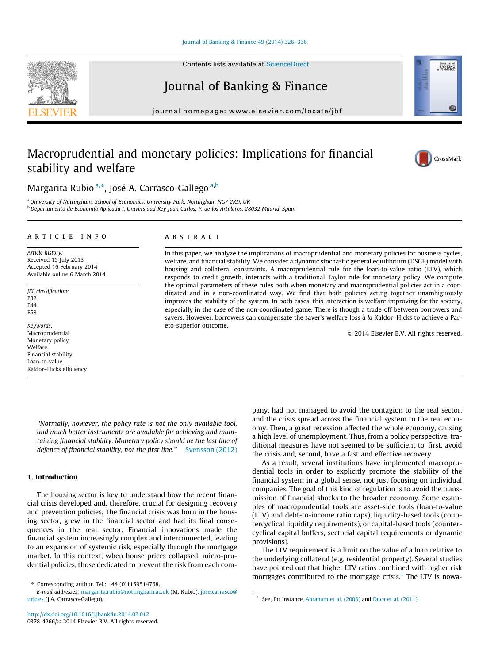Contents lists available at [ScienceDirect](http://www.sciencedirect.com/science/journal/03784266)

Journal of Banking & Finance

journal homepage: [www.elsevier.com/locate/jbf](http://www.elsevier.com/locate/jbf)

# Macroprudential and monetary policies: Implications for financial stability and welfare

Margarita Rubio <sup>a,</sup>\*, José A. Carrasco-Gallego <sup>a,b</sup>

<sup>a</sup>University of Nottingham, School of Economics, University Park, Nottingham NG7 2RD, UK <sup>b</sup> Departamento de Economía Aplicada I, Universidad Rey Juan Carlos, P. de los Artilleros, 28032 Madrid, Spain

#### article info

Article history: Received 15 July 2013 Accepted 16 February 2014 Available online 6 March 2014

JEL classification: E32 E44 E58

Keywords: Macroprudential Monetary policy Welfare Financial stability Loan-to-value Kaldor–Hicks efficiency

#### ABSTRACT

In this paper, we analyze the implications of macroprudential and monetary policies for business cycles, welfare, and financial stability. We consider a dynamic stochastic general equilibrium (DSGE) model with housing and collateral constraints. A macroprudential rule for the loan-to-value ratio (LTV), which responds to credit growth, interacts with a traditional Taylor rule for monetary policy. We compute the optimal parameters of these rules both when monetary and macroprudential policies act in a coordinated and in a non-coordinated way. We find that both policies acting together unambiguously improves the stability of the system. In both cases, this interaction is welfare improving for the society, especially in the case of the non-coordinated game. There is though a trade-off between borrowers and savers. However, borrowers can compensate the saver's welfare loss à la Kaldor-Hicks to achieve a Pareto-superior outcome.

© 2014 Elsevier B.V. All rights reserved.

''Normally, however, the policy rate is not the only available tool, and much better instruments are available for achieving and maintaining financial stability. Monetary policy should be the last line of defence of financial stability, not the first line." [Svensson \(2012\)](#page-10-0)

## 1. Introduction

The housing sector is key to understand how the recent financial crisis developed and, therefore, crucial for designing recovery and prevention policies. The financial crisis was born in the housing sector, grew in the financial sector and had its final consequences in the real sector. Financial innovations made the financial system increasingly complex and interconnected, leading to an expansion of systemic risk, especially through the mortgage market. In this context, when house prices collapsed, micro-prudential policies, those dedicated to prevent the risk from each company, had not managed to avoid the contagion to the real sector, and the crisis spread across the financial system to the real economy. Then, a great recession affected the whole economy, causing a high level of unemployment. Thus, from a policy perspective, traditional measures have not seemed to be sufficient to, first, avoid the crisis and, second, have a fast and effective recovery.

As a result, several institutions have implemented macroprudential tools in order to explicitly promote the stability of the financial system in a global sense, not just focusing on individual companies. The goal of this kind of regulation is to avoid the transmission of financial shocks to the broader economy. Some examples of macroprudential tools are asset-side tools (loan-to-value (LTV) and debt-to-income ratio caps), liquidity-based tools (countercyclical liquidity requirements), or capital-based tools (countercyclical capital buffers, sectorial capital requirements or dynamic provisions).

The LTV requirement is a limit on the value of a loan relative to the underlying collateral (e.g. residential property). Several studies have pointed out that higher LTV ratios combined with higher risk mortgages contributed to the mortgage crisis.<sup>1</sup> The LTV is nowa-





Journal of<br>BANKING<br>& FINANCE

CrossMark

<sup>⇑</sup> Corresponding author. Tel.: +44 (0)1159514768.

E-mail addresses: [margarita.rubio@nottingham.ac.uk](mailto:margarita.rubio@nottingham.ac.uk) (M. Rubio), [jose.carrasco@](mailto:jose.carrasco@ urjc.es) [urjc.es](mailto:jose.carrasco@ urjc.es) (J.A. Carrasco-Gallego). 1 See, for instance, [Abraham et al. \(2008\)](#page-10-0) and [Duca et al. \(2011\)](#page-10-0).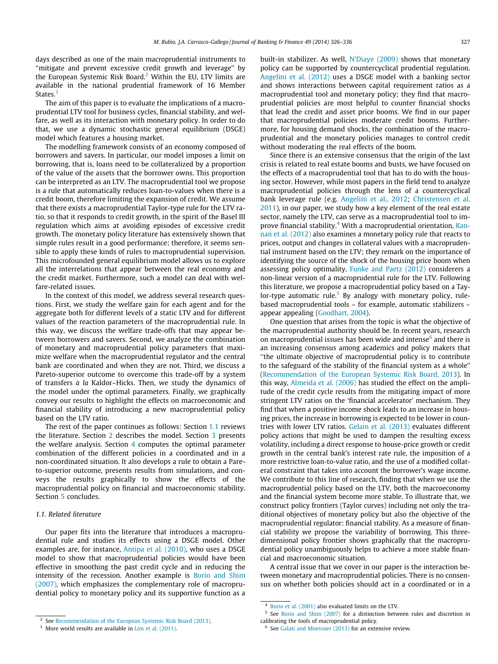days described as one of the main macroprudential instruments to ''mitigate and prevent excessive credit growth and leverage'' by the European Systemic Risk Board.<sup>2</sup> Within the EU, LTV limits are available in the national prudential framework of 16 Member States.<sup>3</sup>

The aim of this paper is to evaluate the implications of a macroprudential LTV tool for business cycles, financial stability, and welfare, as well as its interaction with monetary policy. In order to do that, we use a dynamic stochastic general equilibrium (DSGE) model which features a housing market.

The modelling framework consists of an economy composed of borrowers and savers. In particular, our model imposes a limit on borrowing, that is, loans need to be collateralized by a proportion of the value of the assets that the borrower owns. This proportion can be interpreted as an LTV. The macroprudential tool we propose is a rule that automatically reduces loan-to-values when there is a credit boom, therefore limiting the expansion of credit. We assume that there exists a macroprudential Taylor-type rule for the LTV ratio, so that it responds to credit growth, in the spirit of the Basel III regulation which aims at avoiding episodes of excessive credit growth. The monetary policy literature has extensively shown that simple rules result in a good performance; therefore, it seems sensible to apply these kinds of rules to macroprudential supervision. This microfounded general equilibrium model allows us to explore all the interrelations that appear between the real economy and the credit market. Furthermore, such a model can deal with welfare-related issues.

In the context of this model, we address several research questions. First, we study the welfare gain for each agent and for the aggregate both for different levels of a static LTV and for different values of the reaction parameters of the macroprudential rule. In this way, we discuss the welfare trade-offs that may appear between borrowers and savers. Second, we analyze the combination of monetary and macroprudential policy parameters that maximize welfare when the macroprudential regulator and the central bank are coordinated and when they are not. Third, we discuss a Pareto-superior outcome to overcome this trade-off by a system of transfers à la Kaldor-Hicks. Then, we study the dynamics of the model under the optimal parameters. Finally, we graphically convey our results to highlight the effects on macroeconomic and financial stability of introducing a new macroprudential policy based on the LTV ratio.

The rest of the paper continues as follows: Section 1.1 reviews the literature. Section [2](#page-2-0) describes the model. Section [3](#page-4-0) presents the welfare analysis. Section [4](#page-5-0) computes the optimal parameter combination of the different policies in a coordinated and in a non-coordinated situation. It also develops a rule to obtain a Pareto-superior outcome, presents results from simulations, and conveys the results graphically to show the effects of the macroprudential policy on financial and macroeconomic stability. Section [5](#page-9-0) concludes.

# 1.1. Related literature

Our paper fits into the literature that introduces a macroprudential rule and studies its effects using a DSGE model. Other examples are, for instance, [Antipa et al. \(2010\)](#page-10-0), who uses a DSGE model to show that macroprudential policies would have been effective in smoothing the past credit cycle and in reducing the intensity of the recession. Another example is [Borio and Shim](#page-10-0) [\(2007\)](#page-10-0), which emphasizes the complementary role of macroprudential policy to monetary policy and its supportive function as a built-in stabilizer. As well, [N'Diaye \(2009\)](#page-10-0) shows that monetary policy can be supported by countercyclical prudential regulation. [Angelini et al. \(2012\)](#page-10-0) uses a DSGE model with a banking sector and shows interactions between capital requirement ratios as a macroprudential tool and monetary policy; they find that macroprudential policies are most helpful to counter financial shocks that lead the credit and asset price booms. We find in our paper that macroprudential policies moderate credit booms. Furthermore, for housing demand shocks, the combination of the macroprudential and the monetary policies manages to control credit without moderating the real effects of the boom.

Since there is an extensive consensus that the origin of the last crisis is related to real estate booms and busts, we have focused on the effects of a macroprudential tool that has to do with the housing sector. However, while most papers in the field tend to analyze macroprudential policies through the lens of a countercyclical bank leverage rule (e.g. [Angelini et al., 2012;](#page-10-0) [Christensen et al,](#page-10-0) [2011](#page-10-0)), in our paper, we study how a key element of the real estate sector, namely the LTV, can serve as a macroprudential tool to improve financial stability.4 With a macroprudential orientation, [Kan](#page-10-0)[nan et al. \(2012\)](#page-10-0) also examines a monetary policy rule that reacts to prices, output and changes in collateral values with a macroprudential instrument based on the LTV; they remark on the importance of identifying the source of the shock of the housing price boom when assessing policy optimality. [Funke and Paetz \(2012\)](#page-10-0) considerers a non-linear version of a macroprudential rule for the LTV. Following this literature, we propose a macroprudential policy based on a Taylor-type automatic rule.<sup>5</sup> By analogy with monetary policy, rulebased macroprudential tools – for example, automatic stabilizers – appear appealing ([Goodhart, 2004\)](#page-10-0).

One question that arises from the topic is what the objective of the macroprudential authority should be. In recent years, research on macroprudential issues has been wide and intense<sup>6</sup> and there is an increasing consensus among academics and policy makers that ''the ultimate objective of macroprudential policy is to contribute to the safeguard of the stability of the financial system as a whole'' [\(Recommendation of the European Systemic Risk Board, 2013\)](#page-10-0). In this way, [Almeida et al. \(2006\)](#page-10-0) has studied the effect on the amplitude of the credit cycle results from the mitigating impact of more stringent LTV ratios on the 'financial accelerator' mechanism. They find that when a positive income shock leads to an increase in housing prices, the increase in borrowing is expected to be lower in countries with lower LTV ratios. [Gelain et al. \(2013\)](#page-10-0) evaluates different policy actions that might be used to dampen the resulting excess volatility, including a direct response to house-price growth or credit growth in the central bank's interest rate rule, the imposition of a more restrictive loan-to-value ratio, and the use of a modified collateral constraint that takes into account the borrower's wage income. We contribute to this line of research, finding that when we use the macroprudential policy based on the LTV, both the macroeconomy and the financial system become more stable. To illustrate that, we construct policy frontiers (Taylor curves) including not only the traditional objectives of monetary policy but also the objective of the macroprudential regulator: financial stability. As a measure of financial stability we propose the variability of borrowing. This threedimensional policy frontier shows graphically that the macroprudential policy unambiguously helps to achieve a more stable financial and macroeconomic situation.

A central issue that we cover in our paper is the interaction between monetary and macroprudential policies. There is no consensus on whether both policies should act in a coordinated or in a

<sup>&</sup>lt;sup>2</sup> See [Recommendation of the European Systemic Risk Board \(2013\).](#page-10-0)

<sup>&</sup>lt;sup>3</sup> More world results are available in [Lim et al. \(2011\).](#page-10-0)

[Borio et al. \(2001\)](#page-10-0) also evaluated limits on the LTV.

<sup>5</sup> See [Borio and Shim \(2007\)](#page-10-0) for a distinction between rules and discretion in calibrating the tools of macroprudential policy.

See [Galati and Moessner \(2013\)](#page-10-0) for an extensive review.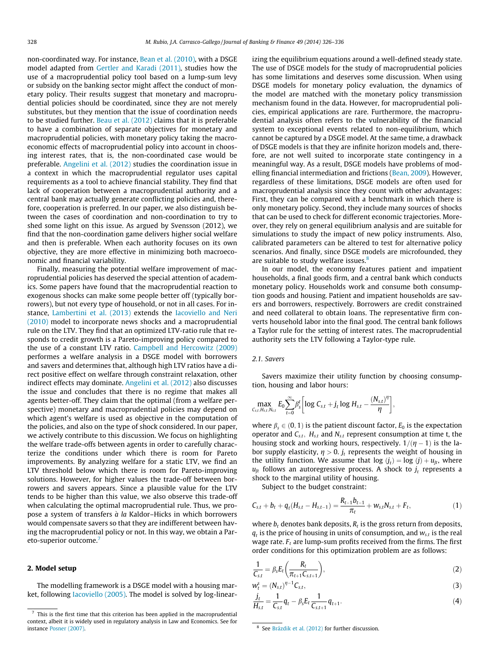<span id="page-2-0"></span>non-coordinated way. For instance, [Bean et al. \(2010\)](#page-10-0), with a DSGE model adapted from [Gertler and Karadi \(2011\),](#page-10-0) studies how the use of a macroprudential policy tool based on a lump-sum levy or subsidy on the banking sector might affect the conduct of monetary policy. Their results suggest that monetary and macroprudential policies should be coordinated, since they are not merely substitutes, but they mention that the issue of coordination needs to be studied further. [Beau et al. \(2012\)](#page-10-0) claims that it is preferable to have a combination of separate objectives for monetary and macroprudential policies, with monetary policy taking the macroeconomic effects of macroprudential policy into account in choosing interest rates, that is, the non-coordinated case would be preferable. [Angelini et al. \(2012\)](#page-10-0) studies the coordination issue in a context in which the macroprudential regulator uses capital requirements as a tool to achieve financial stability. They find that lack of cooperation between a macroprudential authority and a central bank may actually generate conflicting policies and, therefore, cooperation is preferred. In our paper, we also distinguish between the cases of coordination and non-coordination to try to shed some light on this issue. As argued by Svensson (2012), we find that the non-coordination game delivers higher social welfare and then is preferable. When each authority focuses on its own objective, they are more effective in minimizing both macroeconomic and financial variability.

Finally, measuring the potential welfare improvement of macroprudential policies has deserved the special attention of academics. Some papers have found that the macroprudential reaction to exogenous shocks can make some people better off (typically borrowers), but not every type of household, or not in all cases. For instance, [Lambertini et al. \(2013\)](#page-10-0) extends the [Iacoviello and Neri](#page-10-0) [\(2010\)](#page-10-0) model to incorporate news shocks and a macroprudential rule on the LTV. They find that an optimized LTV-ratio rule that responds to credit growth is a Pareto-improving policy compared to the use of a constant LTV ratio. [Campbell and Hercowitz \(2009\)](#page-10-0) performes a welfare analysis in a DSGE model with borrowers and savers and determines that, although high LTV ratios have a direct positive effect on welfare through constraint relaxation, other indirect effects may dominate. [Angelini et al. \(2012\)](#page-10-0) also discusses the issue and concludes that there is no regime that makes all agents better-off. They claim that the optimal (from a welfare perspective) monetary and macroprudential policies may depend on which agent's welfare is used as objective in the computation of the policies, and also on the type of shock considered. In our paper, we actively contribute to this discussion. We focus on highlighting the welfare trade-offs between agents in order to carefully characterize the conditions under which there is room for Pareto improvements. By analyzing welfare for a static LTV, we find an LTV threshold below which there is room for Pareto-improving solutions. However, for higher values the trade-off between borrowers and savers appears. Since a plausible value for the LTV tends to be higher than this value, we also observe this trade-off when calculating the optimal macroprudential rule. Thus, we propose a system of transfers à la Kaldor–Hicks in which borrowers would compensate savers so that they are indifferent between having the macroprudential policy or not. In this way, we obtain a Pareto-superior outcome.7

## 2. Model setup

The modelling framework is a DSGE model with a housing market, following [Iacoviello \(2005\)](#page-10-0). The model is solved by log-linearizing the equilibrium equations around a well-defined steady state. The use of DSGE models for the study of macroprudential policies has some limitations and deserves some discussion. When using DSGE models for monetary policy evaluation, the dynamics of the model are matched with the monetary policy transmission mechanism found in the data. However, for macroprudential policies, empirical applications are rare. Furthermore, the macroprudential analysis often refers to the vulnerability of the financial system to exceptional events related to non-equilibrium, which cannot be captured by a DSGE model. At the same time, a drawback of DSGE models is that they are infinite horizon models and, therefore, are not well suited to incorporate state contingency in a meaningful way. As a result, DSGE models have problems of modelling financial intermediation and frictions [\(Bean, 2009](#page-10-0)). However, regardless of these limitations, DSGE models are often used for macroprudential analysis since they count with other advantages: First, they can be compared with a benchmark in which there is only monetary policy. Second, they include many sources of shocks that can be used to check for different economic trajectories. Moreover, they rely on general equilibrium analysis and are suitable for simulations to study the impact of new policy instruments. Also, calibrated parameters can be altered to test for alternative policy scenarios. And finally, since DSGE models are microfounded, they are suitable to study welfare issues.<sup>8</sup>

In our model, the economy features patient and impatient households, a final goods firm, and a central bank which conducts monetary policy. Households work and consume both consumption goods and housing. Patient and impatient households are savers and borrowers, respectively. Borrowers are credit constrained and need collateral to obtain loans. The representative firm converts household labor into the final good. The central bank follows a Taylor rule for the setting of interest rates. The macroprudential authority sets the LTV following a Taylor-type rule.

# 2.1. Savers

Savers maximize their utility function by choosing consumption, housing and labor hours:

$$
\max_{C_{s,t},H_{s,t},N_{s,t}} E_0 \sum_{t=0}^{\infty} \beta_s^t \left[ \log C_{s,t} + j_t \log H_{s,t} - \frac{(N_{s,t})^{\eta}}{\eta} \right],
$$

where  $\beta_s \in (0, 1)$  is the patient discount factor,  $E_0$  is the expectation operator and  $C_{s,t}$ ,  $H_{s,t}$  and  $N_{s,t}$  represent consumption at time t, the housing stock and working hours, respectively.  $1/(\eta - 1)$  is the labor supply elasticity,  $\eta > 0$ .  $j_t$  represents the weight of housing in the utility function. We assume that  $log (j_t) = log (j) + u_{jt}$ , where  $u_{lt}$  follows an autoregressive process. A shock to  $j_t$  represents a shock to the marginal utility of housing.

Subject to the budget constraint:

$$
C_{s,t} + b_t + q_t(H_{s,t} - H_{s,t-1}) = \frac{R_{t-1}b_{t-1}}{\pi_t} + w_{s,t}N_{s,t} + F_t,
$$
\n(1)

where  $b_t$  denotes bank deposits,  $R_t$  is the gross return from deposits,  $q_t$  is the price of housing in units of consumption, and  $w_{s,t}$  is the real wage rate.  $F_t$  are lump-sum profits received from the firms. The first order conditions for this optimization problem are as follows:

$$
\frac{1}{C_{s,t}} = \beta_s E_t \left( \frac{R_t}{\pi_{t+1} C_{s,t+1}} \right),\tag{2}
$$

$$
w_t^s = (N_{s,t})^{n-1} C_{s,t},\tag{3}
$$

$$
\frac{j_t}{H_{s,t}} = \frac{1}{C_{s,t}} q_t - \beta_s E_t \frac{1}{C_{s,t+1}} q_{t+1}.
$$
\n(4)

<sup>7</sup> This is the first time that this criterion has been applied in the macroprudential context, albeit it is widely used in regulatory analysis in Law and Economics. See for instance [Posner \(2007\).](#page-10-0) **8** See [Brázdik et al. \(2012\)](#page-10-0) for further discussion.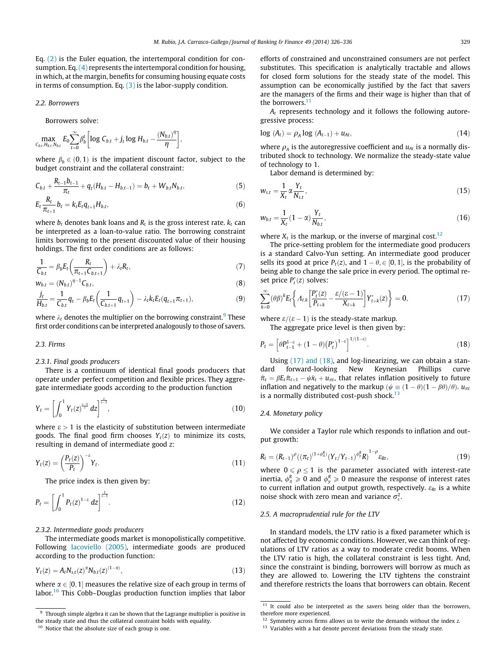Eq. [\(2\)](#page-2-0) is the Euler equation, the intertemporal condition for consumption. Eq.  $(4)$  represents the intertemporal condition for housing, in which, at the margin, benefits for consuming housing equate costs in terms of consumption. Eq.  $(3)$  is the labor-supply condition.

## 2.2. Borrowers

Borrowers solve:

$$
\max_{C_{b,t},H_{b,t},N_{b,t}} E_0 \sum_{t=0}^{\infty} \beta_b^t \left[ \log C_{b,t} + j_t \log H_{b,t} - \frac{(N_{b,t})^{\eta}}{\eta} \right],
$$

where  $\beta_b \in (0, 1)$  is the impatient discount factor, subject to the budget constraint and the collateral constraint:

$$
C_{b,t} + \frac{R_{t-1}b_{t-1}}{\pi_t} + q_t(H_{b,t} - H_{b,t-1}) = b_t + W_{b,t}N_{b,t},
$$
\n(5)

$$
E_t \frac{R_t}{\pi_{t+1}} b_t = k_t E_t q_{t+1} H_{b,t}, \tag{6}
$$

where  $b_t$  denotes bank loans and  $R_t$  is the gross interest rate.  $k_t$  can be interpreted as a loan-to-value ratio. The borrowing constraint limits borrowing to the present discounted value of their housing holdings. The first order conditions are as follows:

$$
\frac{1}{C_{b,t}} = \beta_b E_t \left( \frac{R_t}{\pi_{t+1} C_{b,t+1}} \right) + \lambda_t R_t, \tag{7}
$$

$$
w_{b,t} = (N_{b,t})^{\eta - 1} C_{b,t},
$$
\n(8)

$$
\frac{j_t}{H_{b,t}} = \frac{1}{C_{b,t}} q_t - \beta_b E_t \left( \frac{1}{C_{b,t+1}} q_{t+1} \right) - \lambda_t k_t E_t (q_{t+1} \pi_{t+1}), \tag{9}
$$

where  $\lambda_t$  denotes the multiplier on the borrowing constraint.<sup>9</sup> These first order conditions can be interpreted analogously to those of savers.

#### 2.3. Firms

#### 2.3.1. Final goods producers

There is a continuum of identical final goods producers that operate under perfect competition and flexible prices. They aggregate intermediate goods according to the production function

$$
Y_t = \left[ \int_0^1 Y_t(z)^{\frac{\varepsilon - 1}{\varepsilon}} dz \right]^{\frac{\varepsilon}{\varepsilon - 1}},\tag{10}
$$

where  $\varepsilon > 1$  is the elasticity of substitution between intermediate goods. The final good firm chooses  $Y_t(z)$  to minimize its costs, resulting in demand of intermediate good z:

$$
Y_t(z) = \left(\frac{P_t(z)}{P_t}\right)^{-\varepsilon} Y_t.
$$
\n(11)

The price index is then given by:

$$
P_t = \left[ \int_0^1 P_t(z)^{1-\varepsilon} \, dz \right]^{\frac{1}{\varepsilon-1}}. \tag{12}
$$

#### 2.3.2. Intermediate goods producers

The intermediate goods market is monopolistically competitive. Following [Iacoviello \(2005\)](#page-10-0), intermediate goods are produced according to the production function:

$$
Y_t(z) = A_t N_{s,t}(z)^{\alpha} N_{b,t}(z)^{(1-\alpha)},
$$
\n(13)

where  $\alpha \in [0, 1]$  measures the relative size of each group in terms of labor.<sup>10</sup> This Cobb–Douglas production function implies that labor

efforts of constrained and unconstrained consumers are not perfect substitutes. This specification is analytically tractable and allows for closed form solutions for the steady state of the model. This assumption can be economically justified by the fact that savers are the managers of the firms and their wage is higher than that of the borrowers. $1$ 

 $A_t$  represents technology and it follows the following autoregressive process:

$$
\log (A_t) = \rho_A \log (A_{t-1}) + u_{At}, \qquad (14)
$$

where  $\rho_A$  is the autoregressive coefficient and  $u_{At}$  is a normally distributed shock to technology. We normalize the steady-state value of technology to 1.

Labor demand is determined by:

$$
w_{s,t} = \frac{1}{X_t} \alpha \frac{Y_t}{N_{s,t}},
$$
\n(15)

$$
w_{b,t} = \frac{1}{X_t} (1 - \alpha) \frac{Y_t}{N_{b,t}},
$$
\n(16)

where  $X_t$  is the markup, or the inverse of marginal cost.<sup>12</sup>

The price-setting problem for the intermediate good producers is a standard Calvo-Yun setting. An intermediate good producer sells its good at price  $P_t(z)$ , and  $1 - \theta \in [0, 1]$ , is the probability of being able to change the sale price in every period. The optimal reset price  $P_t^*(z)$  solves:

$$
\sum_{k=0}^{\infty} (\theta \beta)^k E_t \left\{ \Lambda_{t,k} \left[ \frac{P_t^*(z)}{P_{t+k}} - \frac{\varepsilon/(\varepsilon - 1)}{X_{t+k}} \right] Y_{t+k}^*(z) \right\} = 0, \tag{17}
$$

where  $\varepsilon/(\varepsilon - 1)$  is the steady-state markup.

The aggregate price level is then given by:

$$
P_t = \left[\theta P_{t-1}^{1-\varepsilon} + (1-\theta)(P_t^*)^{1-\varepsilon}\right]^{1/(1-\varepsilon)}.\tag{18}
$$

Using (17) and (18), and log-linearizing, we can obtain a standard forward-looking New Keynesian Phillips curve  $\hat{\pi}_t = \beta E_t \hat{\pi}_{t+1} - \psi \hat{x}_t + u_{\pi t}$ , that relates inflation positively to future inflation and negatively to the markup  $(\psi \equiv (1 - \theta)(1 - \beta \theta)/\theta)$ .  $u_{\pi t}$ is a normally distributed cost-push shock. $13$ 

#### 2.4. Monetary policy

We consider a Taylor rule which responds to inflation and output growth:

$$
R_t = (R_{t-1})^{\rho}((\pi_t)^{(1+\phi_{\pi}^R)}(Y_t/Y_{t-1})^{\phi_{\mathcal{Y}}^R}R)^{1-\rho}\varepsilon_{Rt},
$$
\n(19)

where  $0 \le \rho \le 1$  is the parameter associated with interest-rate inertia,  $\phi_\pi^R\geqslant 0$  and  $\phi_y^R\geqslant 0$  measure the response of interest rates to current inflation and output growth, respectively.  $\varepsilon_{Rt}$  is a white noise shock with zero mean and variance  $\sigma_{\varepsilon}^2$ .

#### 2.5. A macroprudential rule for the LTV

In standard models, the LTV ratio is a fixed parameter which is not affected by economic conditions. However, we can think of regulations of LTV ratios as a way to moderate credit booms. When the LTV ratio is high, the collateral constraint is less tight. And, since the constraint is binding, borrowers will borrow as much as they are allowed to. Lowering the LTV tightens the constraint and therefore restricts the loans that borrowers can obtain. Recent

 $9$  Through simple algebra it can be shown that the Lagrange multiplier is positive in the steady state and thus the collateral constraint holds with equality.

<sup>&</sup>lt;sup>10</sup> Notice that the absolute size of each group is one.

 $11$  It could also be interpreted as the savers being older than the borrowers, therefore more experienced.

 $12$  Symmetry across firms allows us to write the demands without the index z.

<sup>&</sup>lt;sup>13</sup> Variables with a hat denote percent deviations from the steady state.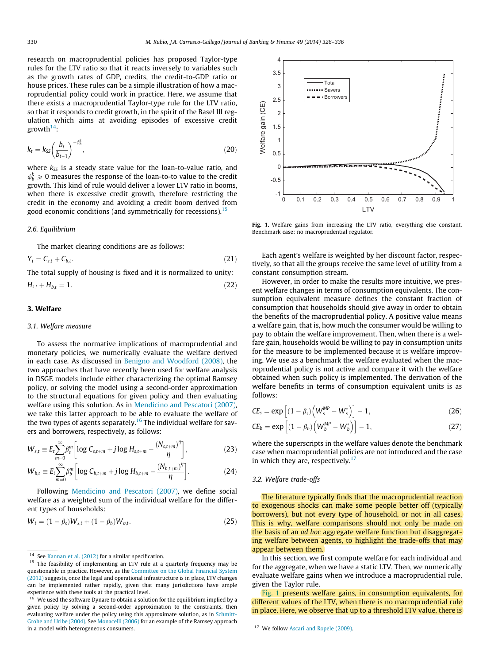<span id="page-4-0"></span>research on macroprudential policies has proposed Taylor-type rules for the LTV ratio so that it reacts inversely to variables such as the growth rates of GDP, credits, the credit-to-GDP ratio or house prices. These rules can be a simple illustration of how a macroprudential policy could work in practice. Here, we assume that there exists a macroprudential Taylor-type rule for the LTV ratio, so that it responds to credit growth, in the spirit of the Basel III regulation which aims at avoiding episodes of excessive credit growth $14$ :

$$
k_t = k_{SS} \left(\frac{b_t}{b_{t-1}}\right)^{-\phi_b^k},\tag{20}
$$

where  $k_{SS}$  is a steady state value for the loan-to-value ratio, and  $\phi_b^k \geqslant 0$  measures the response of the loan-to-to value to the credit growth. This kind of rule would deliver a lower LTV ratio in booms, when there is excessive credit growth, therefore restricting the credit in the economy and avoiding a credit boom derived from good economic conditions (and symmetrically for recessions). $15$ 

#### 2.6. Equilibrium

The market clearing conditions are as follows:

$$
Y_t = C_{s,t} + C_{b,t}.\tag{21}
$$

The total supply of housing is fixed and it is normalized to unity:

$$
H_{s,t} + H_{b,t} = 1. \tag{22}
$$

## 3. Welfare

#### 3.1. Welfare measure

To assess the normative implications of macroprudential and monetary policies, we numerically evaluate the welfare derived in each case. As discussed in [Benigno and Woodford \(2008\)](#page-10-0), the two approaches that have recently been used for welfare analysis in DSGE models include either characterizing the optimal Ramsey policy, or solving the model using a second-order approximation to the structural equations for given policy and then evaluating welfare using this solution. As in [Mendicino and Pescatori \(2007\),](#page-10-0) we take this latter approach to be able to evaluate the welfare of the two types of agents separately.<sup>16</sup> The individual welfare for savers and borrowers, respectively, as follows:

$$
W_{s,t} = E_t \sum_{m=0}^{\infty} \beta_s^m \left[ \log C_{s,t+m} + j \log H_{s,t+m} - \frac{(N_{s,t+m})^{\eta}}{\eta} \right],
$$
 (23)

$$
W_{b,t} \equiv E_t \sum_{m=0}^{\infty} \beta_b^m \left[ \log C_{b,t+m} + j \log H_{b,t+m} - \frac{(N_{b,t+m})^{\eta}}{\eta} \right].
$$
 (24)

Following [Mendicino and Pescatori \(2007\)](#page-10-0), we define social welfare as a weighted sum of the individual welfare for the different types of households:

$$
W_t = (1 - \beta_s)W_{s,t} + (1 - \beta_b)W_{b,t}.
$$
\n(25)



Fig. 1. Welfare gains from increasing the LTV ratio, everything else constant. Benchmark case: no macroprudential regulator.

Each agent's welfare is weighted by her discount factor, respectively, so that all the groups receive the same level of utility from a constant consumption stream.

However, in order to make the results more intuitive, we present welfare changes in terms of consumption equivalents. The consumption equivalent measure defines the constant fraction of consumption that households should give away in order to obtain the benefits of the macroprudential policy. A positive value means a welfare gain, that is, how much the consumer would be willing to pay to obtain the welfare improvement. Then, when there is a welfare gain, households would be willing to pay in consumption units for the measure to be implemented because it is welfare improving. We use as a benchmark the welfare evaluated when the macroprudential policy is not active and compare it with the welfare obtained when such policy is implemented. The derivation of the welfare benefits in terms of consumption equivalent units is as follows:

$$
CE_s = \exp\left[ (1 - \beta_s) \left( W_s^{MP} - W_s^* \right) \right] - 1, \tag{26}
$$

$$
CE_b = \exp\left[ (1 - \beta_b) \left( W_b^{MP} - W_b^* \right) \right] - 1, \tag{27}
$$

where the superscripts in the welfare values denote the benchmark case when macroprudential policies are not introduced and the case in which they are, respectively. $17$ 

## 3.2. Welfare trade-offs

The literature typically finds that the macroprudential reaction to exogenous shocks can make some people better off (typically borrowers), but not every type of household, or not in all cases. This is why, welfare comparisons should not only be made on the basis of an ad hoc aggregate welfare function but disaggregating welfare between agents, to highlight the trade-offs that may appear between them.

In this section, we first compute welfare for each individual and for the aggregate, when we have a static LTV. Then, we numerically evaluate welfare gains when we introduce a macroprudential rule, given the Taylor rule.

Fig. 1 presents welfare gains, in consumption equivalents, for different values of the LTV, when there is no macroprudential rule in place. Here, we observe that up to a threshold LTV value, there is

<sup>14</sup> See [Kannan et al. \(2012\)](#page-10-0) for a similar specification.

<sup>&</sup>lt;sup>15</sup> The feasibility of implementing an LTV rule at a quarterly frequency may be questionable in practice. However, as the [Committee on the Global Financial System](#page-10-0) [\(2012\)](#page-10-0) suggests, once the legal and operational infrastructure is in place, LTV changes can be implemented rather rapidly, given that many jurisdictions have ample experience with these tools at the practical level.

 $16$  We used the software Dynare to obtain a solution for the equilibrium implied by a given policy by solving a second-order approximation to the constraints, then evaluating welfare under the policy using this approximate solution, as in [Schmitt-](#page-10-0)[Grohe and Uribe \(2004\).](#page-10-0) See [Monacelli \(2006\)](#page-10-0) for an example of the Ramsey approach in a model with heterogeneous consumers. 17 We follow [Ascari and Ropele \(2009\)](#page-10-0).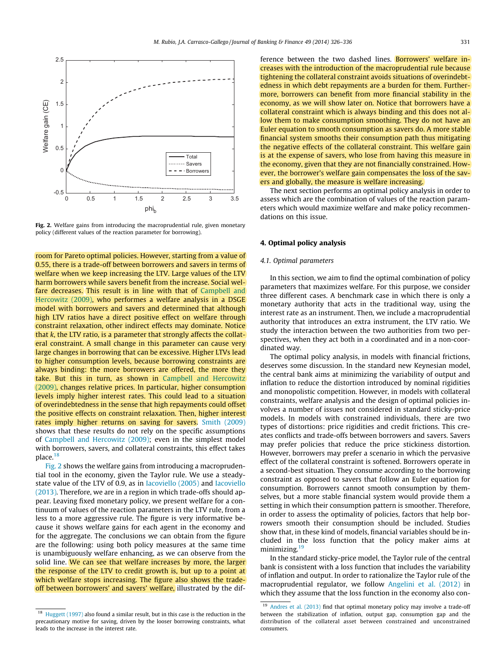<span id="page-5-0"></span>

Fig. 2. Welfare gains from introducing the macroprudential rule, given monetary policy (different values of the reaction parameter for borrowing).

room for Pareto optimal policies. However, starting from a value of 0.55, there is a trade-off between borrowers and savers in terms of welfare when we keep increasing the LTV. Large values of the LTV harm borrowers while savers benefit from the increase. Social wel-fare decreases. This result is in line with that of [Campbell and](#page-10-0) [Hercowitz \(2009\)](#page-10-0), who performes a welfare analysis in a DSGE model with borrowers and savers and determined that although high LTV ratios have a direct positive effect on welfare through constraint relaxation, other indirect effects may dominate. Notice that k, the LTV ratio, is a parameter that strongly affects the collateral constraint. A small change in this parameter can cause very large changes in borrowing that can be excessive. Higher LTVs lead to higher consumption levels, because borrowing constraints are always binding: the more borrowers are offered, the more they take. But this in turn, as shown in [Campbell and Hercowitz](#page-10-0) [\(2009\)](#page-10-0), changes relative prices. In particular, higher consumption levels imply higher interest rates. This could lead to a situation of overindebtedness in the sense that high repayments could offset the positive effects on constraint relaxation. Then, higher interest rates imply higher returns on saving for savers. [Smith \(2009\)](#page-10-0) shows that these results do not rely on the specific assumptions of [Campbell and Hercowitz \(2009\)](#page-10-0); even in the simplest model with borrowers, savers, and collateral constraints, this effect takes place. $18$ 

Fig. 2 shows the welfare gains from introducing a macroprudential tool in the economy, given the Taylor rule. We use a steadystate value of the LTV of 0.9, as in [Iacoviello \(2005\)](#page-10-0) and [Iacoviello](#page-10-0) [\(2013\).](#page-10-0) Therefore, we are in a region in which trade-offs should appear. Leaving fixed monetary policy, we present welfare for a continuum of values of the reaction parameters in the LTV rule, from a less to a more aggressive rule. The figure is very informative because it shows welfare gains for each agent in the economy and for the aggregate. The conclusions we can obtain from the figure are the following: using both policy measures at the same time is unambiguously welfare enhancing, as we can observe from the solid line. We can see that welfare increases by more, the larger the response of the LTV to credit growth is, but up to a point at which welfare stops increasing. The figure also shows the tradeoff between borrowers' and savers' welfare, illustrated by the dif-

ference between the two dashed lines. Borrowers' welfare increases with the introduction of the macroprudential rule because tightening the collateral constraint avoids situations of overindebtedness in which debt repayments are a burden for them. Furthermore, borrowers can benefit from more financial stability in the economy, as we will show later on. Notice that borrowers have a collateral constraint which is always binding and this does not allow them to make consumption smoothing. They do not have an Euler equation to smooth consumption as savers do. A more stable financial system smooths their consumption path thus mitigating the negative effects of the collateral constraint. This welfare gain is at the expense of savers, who lose from having this measure in the economy, given that they are not financially constrained. However, the borrower's welfare gain compensates the loss of the savers and globally, the measure is welfare increasing.

The next section performs an optimal policy analysis in order to assess which are the combination of values of the reaction parameters which would maximize welfare and make policy recommendations on this issue.

## 4. Optimal policy analysis

## 4.1. Optimal parameters

In this section, we aim to find the optimal combination of policy parameters that maximizes welfare. For this purpose, we consider three different cases. A benchmark case in which there is only a monetary authority that acts in the traditional way, using the interest rate as an instrument. Then, we include a macroprudential authority that introduces an extra instrument, the LTV ratio. We study the interaction between the two authorities from two perspectives, when they act both in a coordinated and in a non-coordinated way.

The optimal policy analysis, in models with financial frictions, deserves some discussion. In the standard new Keynesian model, the central bank aims at minimizing the variability of output and inflation to reduce the distortion introduced by nominal rigidities and monopolistic competition. However, in models with collateral constraints, welfare analysis and the design of optimal policies involves a number of issues not considered in standard sticky-price models. In models with constrained individuals, there are two types of distortions: price rigidities and credit frictions. This creates conflicts and trade-offs between borrowers and savers. Savers may prefer policies that reduce the price stickiness distortion. However, borrowers may prefer a scenario in which the pervasive effect of the collateral constraint is softened. Borrowers operate in a second-best situation. They consume according to the borrowing constraint as opposed to savers that follow an Euler equation for consumption. Borrowers cannot smooth consumption by themselves, but a more stable financial system would provide them a setting in which their consumption pattern is smoother. Therefore, in order to assess the optimality of policies, factors that help borrowers smooth their consumption should be included. Studies show that, in these kind of models, financial variables should be included in the loss function that the policy maker aims at minimizing. $19$ 

In the standard sticky-price model, the Taylor rule of the central bank is consistent with a loss function that includes the variability of inflation and output. In order to rationalize the Taylor rule of the macroprudential regulator, we follow [Angelini et al. \(2012\)](#page-10-0) in which they assume that the loss function in the economy also con-

<sup>&</sup>lt;sup>18</sup> [Huggett \(1997\)](#page-10-0) also found a similar result, but in this case is the reduction in the precautionary motive for saving, driven by the looser borrowing constraints, what leads to the increase in the interest rate.

<sup>&</sup>lt;sup>19</sup> [Andres et al. \(2013\)](#page-10-0) find that optimal monetary policy may involve a trade-off between the stabilization of inflation, output gap, consumption gap and the distribution of the collateral asset between constrained and unconstrained consumers.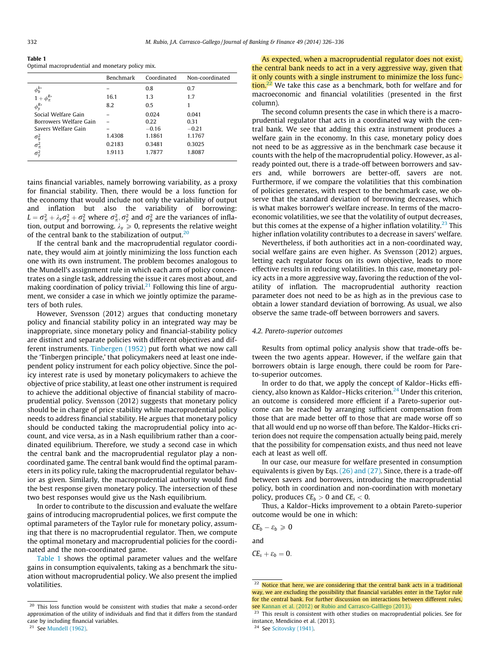Optimal macroprudential and monetary policy mix.

|                                              | Benchmark | Coordinated | Non-coordinated |
|----------------------------------------------|-----------|-------------|-----------------|
| $\phi_b^{k*}$                                |           | 0.8         | 0.7             |
| $1 + \phi_{\pi}^{R*}$                        | 16.1      | 1.3         | 1.7             |
| $\phi_v^{R*}$                                | 8.2       | 0.5         |                 |
| Social Welfare Gain                          |           | 0.024       | 0.041           |
| <b>Borrowers Welfare Gain</b>                |           | 0.22        | 0.31            |
| Savers Welfare Gain                          |           | $-0.16$     | $-0.21$         |
|                                              | 1.4308    | 1.1861      | 1.1767          |
|                                              | 0.2183    | 0.3481      | 0.3025          |
| $\frac{\sigma_b^2}{\sigma_\pi^2} \sigma_v^2$ | 1.9113    | 1.7877      | 1.8087          |

tains financial variables, namely borrowing variability, as a proxy for financial stability. Then, there would be a loss function for the economy that would include not only the variability of output and inflation but also the variability of borrowing:  $L=\sigma_{\pi}^2+\lambda_y\sigma_y^2+\sigma_b^2$  where  $\sigma_{\pi}^2,\sigma_y^2$  and  $\sigma_b^2$  are the variances of inflation, output and borrowing.  $\lambda_y \geq 0$ , represents the relative weight of the central bank to the stabilization of output. $20$ 

If the central bank and the macroprudential regulator coordinate, they would aim at jointly minimizing the loss function each one with its own instrument. The problem becomes analogous to the Mundell's assignment rule in which each arm of policy concentrates on a single task, addressing the issue it cares most about, and making coordination of policy trivial.<sup>21</sup> Following this line of argument, we consider a case in which we jointly optimize the parameters of both rules.

However, Svensson (2012) argues that conducting monetary policy and financial stability policy in an integrated way may be inappropriate, since monetary policy and financial-stability policy are distinct and separate policies with different objectives and different instruments. [Tinbergen \(1952\)](#page-10-0) put forth what we now call the 'Tinbergen principle,' that policymakers need at least one independent policy instrument for each policy objective. Since the policy interest rate is used by monetary policymakers to achieve the objective of price stability, at least one other instrument is required to achieve the additional objective of financial stability of macroprudential policy. Svensson (2012) suggests that monetary policy should be in charge of price stability while macroprudential policy needs to address financial stability. He argues that monetary policy should be conducted taking the macroprudential policy into account, and vice versa, as in a Nash equilibrium rather than a coordinated equilibrium. Therefore, we study a second case in which the central bank and the macroprudential regulator play a noncoordinated game. The central bank would find the optimal parameters in its policy rule, taking the macroprudential regulator behavior as given. Similarly, the macroprudential authority would find the best response given monetary policy. The intersection of these two best responses would give us the Nash equilibrium.

In order to contribute to the discussion and evaluate the welfare gains of introducing macroprudential polices, we first compute the optimal parameters of the Taylor rule for monetary policy, assuming that there is no macroprudential regulator. Then, we compute the optimal monetary and macroprudential policies for the coordinated and the non-coordinated game.

Table 1 shows the optimal parameter values and the welfare gains in consumption equivalents, taking as a benchmark the situation without macroprudential policy. We also present the implied volatilities.

As expected, when a macroprudential regulator does not exist, the central bank needs to act in a very aggressive way, given that it only counts with a single instrument to minimize the loss func- $\frac{\text{tion.}^{22}}{\text{A}}$  We take this case as a benchmark, both for welfare and for macroeconomic and financial volatilities (presented in the first column).

The second column presents the case in which there is a macroprudential regulator that acts in a coordinated way with the central bank. We see that adding this extra instrument produces a welfare gain in the economy. In this case, monetary policy does not need to be as aggressive as in the benchmark case because it counts with the help of the macroprudential policy. However, as already pointed out, there is a trade-off between borrowers and savers and, while borrowers are better-off, savers are not. Furthermore, if we compare the volatilities that this combination of policies generates, with respect to the benchmark case, we observe that the standard deviation of borrowing decreases, which is what makes borrower's welfare increase. In terms of the macroeconomic volatilities, we see that the volatility of output decreases, but this comes at the expense of a higher inflation volatility.<sup>23</sup> This higher inflation volatility contributes to a decrease in savers' welfare.

Nevertheless, if both authorities act in a non-coordinated way, social welfare gains are even higher. As Svensson (2012) argues, letting each regulator focus on its own objective, leads to more effective results in reducing volatilities. In this case, monetary policy acts in a more aggressive way, favoring the reduction of the volatility of inflation. The macroprudential authority reaction parameter does not need to be as high as in the previous case to obtain a lower standard deviation of borrowing. As usual, we also observe the same trade-off between borrowers and savers.

#### 4.2. Pareto-superior outcomes

Results from optimal policy analysis show that trade-offs between the two agents appear. However, if the welfare gain that borrowers obtain is large enough, there could be room for Pareto-superior outcomes.

In order to do that, we apply the concept of Kaldor–Hicks efficiency, also known as Kaldor–Hicks criterion.<sup>24</sup> Under this criterion, an outcome is considered more efficient if a Pareto-superior outcome can be reached by arranging sufficient compensation from those that are made better off to those that are made worse off so that all would end up no worse off than before. The Kaldor–Hicks criterion does not require the compensation actually being paid, merely that the possibility for compensation exists, and thus need not leave each at least as well off.

In our case, our measure for welfare presented in consumption equivalents is given by Eqs. [\(26\) and \(27\).](#page-4-0) Since, there is a trade-off between savers and borrowers, introducing the macroprudential policy, both in coordination and non-coordination with monetary policy, produces  $CE_b > 0$  and  $CE_s < 0$ .

Thus, a Kaldor–Hicks improvement to a obtain Pareto-superior outcome would be one in which:

 $CE_b - \varepsilon_b \geq 0$ 

and

 $CE_s + \varepsilon_b = 0.$ 

<sup>&</sup>lt;sup>20</sup> This loss function would be consistent with studies that make a second-order approximation of the utility of individuals and find that it differs from the standard case by including financial variables.

 $21$  See [Mundell \(1962\)](#page-10-0).

 $22$  Notice that here, we are considering that the central bank acts in a traditional way, we are excluding the possibility that financial variables enter in the Taylor rule for the central bank. For further discussion on interactions between different rules, see [Kannan et al. \(2012\)](#page-10-0) or [Rubio and Carrasco-Galllego \(2013\)](#page-10-0).

<sup>&</sup>lt;sup>23</sup> This result is consistent with other studies on macroprudential policies. See for instance, Mendicino et al. (2013).

<sup>&</sup>lt;sup>24</sup> See [Scitovsky \(1941\)](#page-10-0).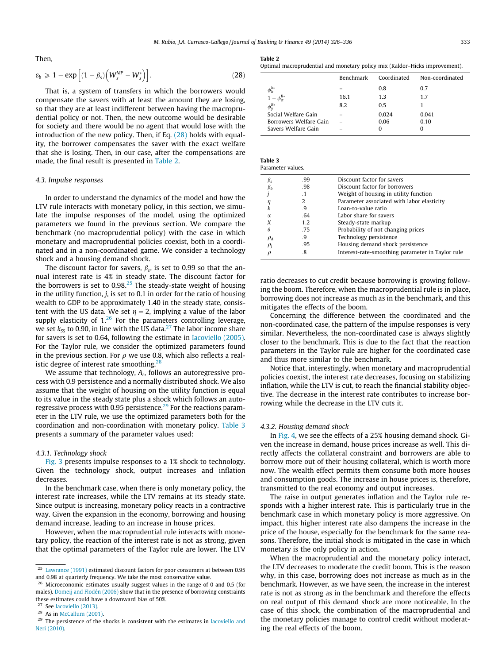Then,

$$
\varepsilon_b \geq 1 - \exp\left[ (1 - \beta_s) \left( W_s^{MP} - W_s^* \right) \right]. \tag{28}
$$

That is, a system of transfers in which the borrowers would compensate the savers with at least the amount they are losing, so that they are at least indifferent between having the macroprudential policy or not. Then, the new outcome would be desirable for society and there would be no agent that would lose with the introduction of the new policy. Then, if Eq. (28) holds with equality, the borrower compensates the saver with the exact welfare that she is losing. Then, in our case, after the compensations are made, the final result is presented in Table 2.

#### 4.3. Impulse responses

In order to understand the dynamics of the model and how the LTV rule interacts with monetary policy, in this section, we simulate the impulse responses of the model, using the optimized parameters we found in the previous section. We compare the benchmark (no macroprudential policy) with the case in which monetary and macroprudential policies coexist, both in a coordinated and in a non-coordinated game. We consider a technology shock and a housing demand shock.

The discount factor for savers,  $\beta_s$ , is set to 0.99 so that the annual interest rate is 4% in steady state. The discount factor for the borrowers is set to  $0.98<sup>25</sup>$ . The steady-state weight of housing in the utility function, j, is set to 0.1 in order for the ratio of housing wealth to GDP to be approximately 1.40 in the steady state, consistent with the US data. We set  $\eta = 2$ , implying a value of the labor supply elasticity of  $1.26$  For the parameters controlling leverage, we set  $k_{SS}$  to 0.90, in line with the US data.<sup>27</sup> The labor income share for savers is set to 0.64, following the estimate in [Iacoviello \(2005\).](#page-10-0) For the Taylor rule, we consider the optimized parameters found in the previous section. For  $\rho$  we use 0.8, which also reflects a realistic degree of interest rate smoothing.<sup>28</sup>

We assume that technology,  $A_t$ , follows an autoregressive process with 0.9 persistence and a normally distributed shock. We also assume that the weight of housing on the utility function is equal to its value in the steady state plus a shock which follows an autoregressive process with 0.95 persistence.<sup>29</sup> For the reactions parameter in the LTV rule, we use the optimized parameters both for the coordination and non-coordination with monetary policy. Table 3 presents a summary of the parameter values used:

#### 4.3.1. Technology shock

[Fig. 3](#page-8-0) presents impulse responses to a 1% shock to technology. Given the technology shock, output increases and inflation decreases.

In the benchmark case, when there is only monetary policy, the interest rate increases, while the LTV remains at its steady state. Since output is increasing, monetary policy reacts in a contractive way. Given the expansion in the economy, borrowing and housing demand increase, leading to an increase in house prices.

However, when the macroprudential rule interacts with monetary policy, the reaction of the interest rate is not as strong, given that the optimal parameters of the Taylor rule are lower. The LTV

#### Table 2

Table 3

Optimal macroprudential and monetary policy mix (Kaldor–Hicks improvement).

|                        | <b>Benchmark</b> | Coordinated | Non-coordinated |
|------------------------|------------------|-------------|-----------------|
| $\phi_b^{k*}$          |                  | 0.8         | 0.7             |
| $1 + \phi_{\pi}^{R*}$  | 16.1             | 1.3         | 1.7             |
| $\phi_{v}^{R*}$        | 8.2              | 0.5         |                 |
| Social Welfare Gain    |                  | 0.024       | 0.041           |
| Borrowers Welfare Gain |                  | 0.06        | 0.10            |
| Savers Welfare Gain    |                  | o           |                 |

| Parameter values. |           |                                                  |  |  |
|-------------------|-----------|--------------------------------------------------|--|--|
| βς                | .99       | Discount factor for savers                       |  |  |
| $\beta_b$         | .98       | Discount factor for borrowers                    |  |  |
|                   | $\cdot$ 1 | Weight of housing in utility function            |  |  |
|                   | 2         | Parameter associated with labor elasticity       |  |  |
|                   | .9        | Loan-to-value ratio                              |  |  |
| $\alpha$          | .64       | Labor share for savers                           |  |  |
| X                 | 1.2       | Steady-state markup                              |  |  |
| θ                 | .75       | Probability of not changing prices               |  |  |
| $\rho_A$          | .9        | Technology persistence                           |  |  |
|                   | .95       | Housing demand shock persistence                 |  |  |
|                   | .8        | Interest-rate-smoothing parameter in Taylor rule |  |  |

ratio decreases to cut credit because borrowing is growing following the boom. Therefore, when the macroprudential rule is in place, borrowing does not increase as much as in the benchmark, and this mitigates the effects of the boom.

Concerning the difference between the coordinated and the non-coordinated case, the pattern of the impulse responses is very similar. Nevertheless, the non-coordinated case is always slightly closer to the benchmark. This is due to the fact that the reaction parameters in the Taylor rule are higher for the coordinated case and thus more similar to the benchmark.

Notice that, interestingly, when monetary and macroprudential policies coexist, the interest rate decreases, focusing on stabilizing inflation, while the LTV is cut, to reach the financial stability objective. The decrease in the interest rate contributes to increase borrowing while the decrease in the LTV cuts it.

#### 4.3.2. Housing demand shock

In [Fig. 4](#page-8-0), we see the effects of a 25% housing demand shock. Given the increase in demand, house prices increase as well. This directly affects the collateral constraint and borrowers are able to borrow more out of their housing collateral, which is worth more now. The wealth effect permits them consume both more houses and consumption goods. The increase in house prices is, therefore, transmitted to the real economy and output increases.

The raise in output generates inflation and the Taylor rule responds with a higher interest rate. This is particularly true in the benchmark case in which monetary policy is more aggressive. On impact, this higher interest rate also dampens the increase in the price of the house, especially for the benchmark for the same reasons. Therefore, the initial shock is mitigated in the case in which monetary is the only policy in action.

When the macroprudential and the monetary policy interact, the LTV decreases to moderate the credit boom. This is the reason why, in this case, borrowing does not increase as much as in the benchmark. However, as we have seen, the increase in the interest rate is not as strong as in the benchmark and therefore the effects on real output of this demand shock are more noticeable. In the case of this shock, the combination of the macroprudential and the monetary policies manage to control credit without moderating the real effects of the boom.

<sup>&</sup>lt;sup>25</sup> [Lawrance \(1991\)](#page-10-0) estimated discount factors for poor consumers at between 0.95 and 0.98 at quarterly frequency. We take the most conservative value.

<sup>26</sup> Microeconomic estimates usually suggest values in the range of 0 and 0.5 (for males). [Domeij and Flodén \(2006\)](#page-10-0) show that in the presence of borrowing constraints these estimates could have a downward bias of 50%.

<sup>27</sup> See [Iacoviello \(2013\)](#page-10-0).

<sup>&</sup>lt;sup>28</sup> As in [McCallum \(2001\).](#page-10-0)

<sup>&</sup>lt;sup>29</sup> The persistence of the shocks is consistent with the estimates in [Iacoviello and](#page-10-0) [Neri \(2010\).](#page-10-0)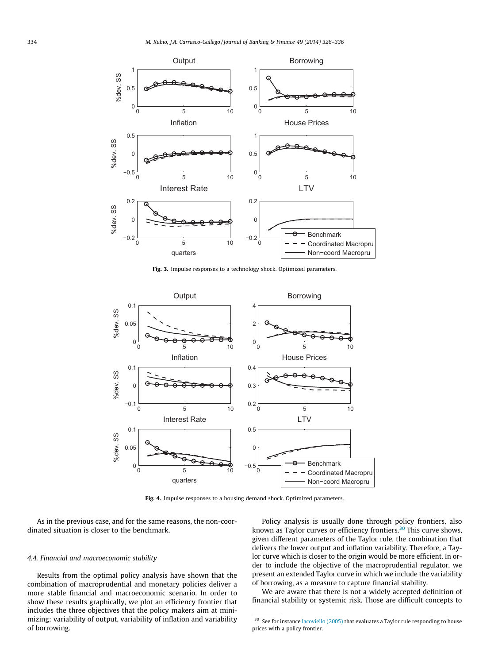<span id="page-8-0"></span>

Fig. 3. Impulse responses to a technology shock. Optimized parameters.



Fig. 4. Impulse responses to a housing demand shock. Optimized parameters.

As in the previous case, and for the same reasons, the non-coordinated situation is closer to the benchmark.

## 4.4. Financial and macroeconomic stability

Results from the optimal policy analysis have shown that the combination of macroprudential and monetary policies deliver a more stable financial and macroeconomic scenario. In order to show these results graphically, we plot an efficiency frontier that includes the three objectives that the policy makers aim at minimizing: variability of output, variability of inflation and variability of borrowing.

Policy analysis is usually done through policy frontiers, also known as Taylor curves or efficiency frontiers.<sup>30</sup> This curve shows, given different parameters of the Taylor rule, the combination that delivers the lower output and inflation variability. Therefore, a Taylor curve which is closer to the origin would be more efficient. In order to include the objective of the macroprudential regulator, we present an extended Taylor curve in which we include the variability of borrowing, as a measure to capture financial stability.

We are aware that there is not a widely accepted definition of financial stability or systemic risk. Those are difficult concepts to

<sup>&</sup>lt;sup>30</sup> See for instance [Iacoviello \(2005\)](#page-10-0) that evaluates a Taylor rule responding to house prices with a policy frontier.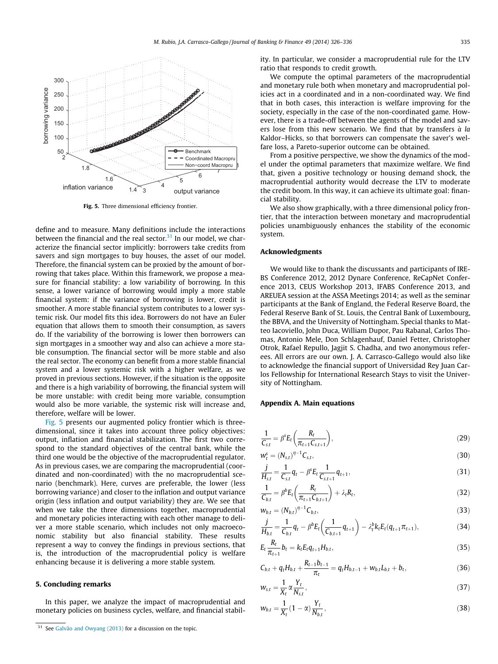<span id="page-9-0"></span>

Fig. 5. Three dimensional efficiency frontier.

define and to measure. Many definitions include the interactions between the financial and the real sector. $31$  In our model, we characterize the financial sector implicitly: borrowers take credits from savers and sign mortgages to buy houses, the asset of our model. Therefore, the financial system can be proxied by the amount of borrowing that takes place. Within this framework, we propose a measure for financial stability: a low variability of borrowing. In this sense, a lower variance of borrowing would imply a more stable financial system: if the variance of borrowing is lower, credit is smoother. A more stable financial system contributes to a lower systemic risk. Our model fits this idea. Borrowers do not have an Euler equation that allows them to smooth their consumption, as savers do. If the variability of the borrowing is lower then borrowers can sign mortgages in a smoother way and also can achieve a more stable consumption. The financial sector will be more stable and also the real sector. The economy can benefit from a more stable financial system and a lower systemic risk with a higher welfare, as we proved in previous sections. However, if the situation is the opposite and there is a high variability of borrowing, the financial system will be more unstable: with credit being more variable, consumption would also be more variable, the systemic risk will increase and, therefore, welfare will be lower.

Fig. 5 presents our augmented policy frontier which is threedimensional, since it takes into account three policy objectives: output, inflation and financial stabilization. The first two correspond to the standard objectives of the central bank, while the third one would be the objective of the macroprudential regulator. As in previous cases, we are comparing the macroprudential (coordinated and non-coordinated) with the no macroprudential scenario (benchmark). Here, curves are preferable, the lower (less borrowing variance) and closer to the inflation and output variance origin (less inflation and output variability) they are. We see that when we take the three dimensions together, macroprudential and monetary policies interacting with each other manage to deliver a more stable scenario, which includes not only macroeconomic stability but also financial stability. These results represent a way to convey the findings in previous sections, that is, the introduction of the macroprudential policy is welfare enhancing because it is delivering a more stable system.

# 5. Concluding remarks

In this paper, we analyze the impact of macroprudential and monetary policies on business cycles, welfare, and financial stability. In particular, we consider a macroprudential rule for the LTV ratio that responds to credit growth.

We compute the optimal parameters of the macroprudential and monetary rule both when monetary and macroprudential policies act in a coordinated and in a non-coordinated way. We find that in both cases, this interaction is welfare improving for the society, especially in the case of the non-coordinated game. However, there is a trade-off between the agents of the model and savers lose from this new scenario. We find that by transfers à la Kaldor–Hicks, so that borrowers can compensate the saver's welfare loss, a Pareto-superior outcome can be obtained.

From a positive perspective, we show the dynamics of the model under the optimal parameters that maximize welfare. We find that, given a positive technology or housing demand shock, the macroprudential authority would decrease the LTV to moderate the credit boom. In this way, it can achieve its ultimate goal: financial stability.

We also show graphically, with a three dimensional policy frontier, that the interaction between monetary and macroprudential policies unambiguously enhances the stability of the economic system.

## Acknowledgments

We would like to thank the discussants and participants of IRE-BS Conference 2012, 2012 Dynare Conference, ReCapNet Conference 2013, CEUS Workshop 2013, IFABS Conference 2013, and AREUEA session at the ASSA Meetings 2014; as well as the seminar participants at the Bank of England, the Federal Reserve Board, the Federal Reserve Bank of St. Louis, the Central Bank of Luxembourg, the BBVA, and the University of Nottingham. Special thanks to Matteo Iacoviello, John Duca, William Dupor, Pau Rabanal, Carlos Thomas, Antonio Mele, Don Schlagenhauf, Daniel Fetter, Christopher Otrok, Rafael Repullo, Jagjit S. Chadha, and two anonymous referees. All errors are our own. J. A. Carrasco-Gallego would also like to acknowledge the financial support of Universidad Rey Juan Carlos Fellowship for International Research Stays to visit the University of Nottingham.

#### Appendix A. Main equations

$$
\frac{1}{C_{s,t}} = \beta^s E_t \left( \frac{R_t}{\pi_{t+1} C_{s,t+1}} \right),\tag{29}
$$

$$
\mathbf{w}_t^s = (N_{s,t})^{\eta-1} \mathbf{C}_{s,t},\tag{30}
$$

$$
\frac{j}{H_{s,t}} = \frac{1}{C_{s,t}} q_t - \beta^s E_t \frac{1}{C_{s,t+1}} q_{t+1},
$$
\n(31)

$$
\frac{1}{C_{b,t}} = \beta^b E_t \left( \frac{R_t}{\pi_{t+1} C_{b,t+1}} \right) + \lambda_t R_t,
$$
\n(32)

$$
w_{b,t} = (N_{b,t})^{n-1} C_{b,t},
$$
\n(33)

$$
\frac{j}{H_{b,t}} = \frac{1}{C_{b,t}} q_t - \beta^b E_t \left( \frac{1}{C_{b,t+1}} q_{t+1} \right) - \lambda_t^b k_t E_t (q_{t+1} \pi_{t+1}), \tag{34}
$$

$$
E_t \frac{R_t}{\pi_{t+1}} b_t = k_t E_t q_{t+1} H_{b,t},
$$
\n(35)

$$
C_{b,t} + q_t H_{b,t} + \frac{R_{t-1} b_{t-1}}{\pi_t} = q_t H_{b,t-1} + w_{b,t} L_{b,t} + b_t,
$$
\n(36)

$$
w_{s,t} = \frac{1}{X_t} \alpha \frac{Y_t}{N_{s,t}},
$$
\n(37)

$$
w_{b,t} = \frac{1}{X_t} (1 - \alpha) \frac{Y_t}{N_{b,t}},
$$
\n(38)

<sup>&</sup>lt;sup>31</sup> See [Galvão and Owyang \(2013\)](#page-10-0) for a discussion on the topic.